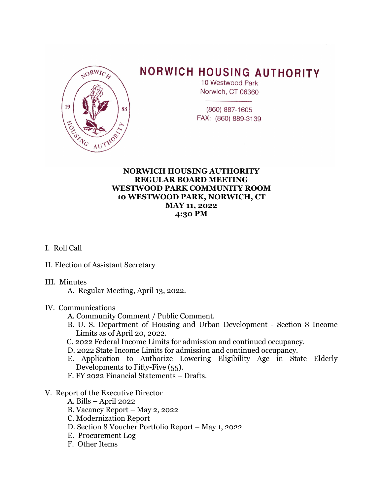

# **NORWICH HOUSING AUTHORITY**

10 Westwood Park Norwich, CT 06360

(860) 887-1605 FAX: (860) 889-3139

# **NORWICH HOUSING AUTHORITY REGULAR BOARD MEETING WESTWOOD PARK COMMUNITY ROOM 10 WESTWOOD PARK, NORWICH, CT MAY 11, 2022 4:30 PM**

# I. Roll Call

II. Election of Assistant Secretary

## III. Minutes

A. Regular Meeting, April 13, 2022.

#### IV. Communications

- A. Community Comment / Public Comment.
- B. U. S. Department of Housing and Urban Development Section 8 Income Limits as of April 20, 2022.
- C. 2022 Federal Income Limits for admission and continued occupancy.
- D. 2022 State Income Limits for admission and continued occupancy.
- E. Application to Authorize Lowering Eligibility Age in State Elderly Developments to Fifty-Five (55).
- F. FY 2022 Financial Statements Drafts.

## V. Report of the Executive Director

- A. Bills April 2022
- B. Vacancy Report May 2, 2022
- C. Modernization Report
- D. Section 8 Voucher Portfolio Report May 1, 2022
- E. Procurement Log
- F. Other Items